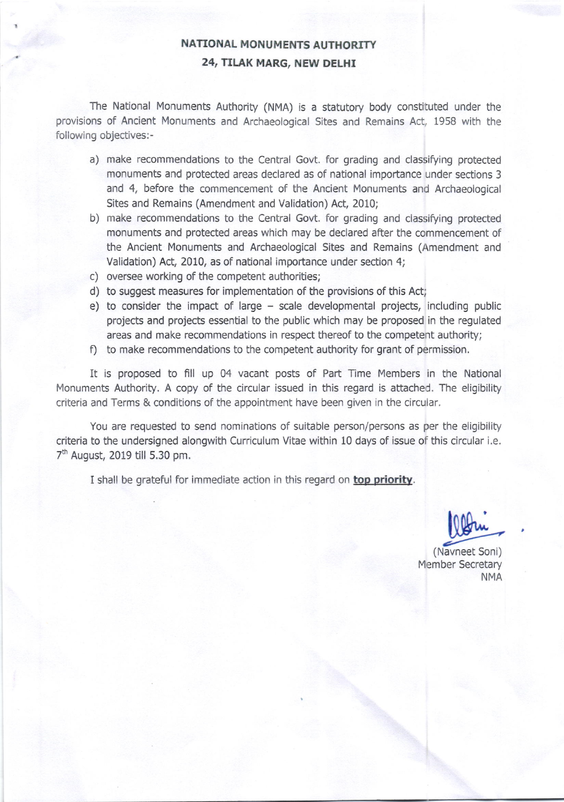## NATIONAL MONUMENTS AUTHORITY 24, TILAK MARG, NEW DELHI

The National Monuments Authority (NMA) is a statutory body constituted under the provisions of Ancient Monuments and Archaeological Sites and Remains Act, 1958 with the following objectives:-

- a) make recommendations to the Central Govt. for grading and classifying protected monuments and protected areas declared as of national importance under sections 3 and 4. before the commencement of the Ancient Monuments and Archaeological Sites and Remains (Amendment and Validation) Act, 2010;
- b) make recommendations to the Central Govt. for grading and classifying protected monuments and protected areas which may be declared after the commencement of the Ancient Monuments and Archaeological Sites and Remains (Amendment and Validation) Act, 2010, as of national importance under section 4;
- c) oversee working of the competent authorities;
- d) to suggest measures for implementation of the provisions of this Act;
- e) to consider the impact of large scale developmental projects, including public projects and projects essential to the public which may be proposed in the regulated areas and make recommendations in respect thereof to the competent authority;
- f) to make recommendations to the competent authority for grant of permission.

It is proposed to fill up 04 vacant posts of Part Time Members in the National Monuments Authority. A copy of the circular issued in this regard is attached. The eligibility criteria and Terms & conditions of the appointment have been given in the circular.

You are requested to send nominations of suitable person/persons as per the eligibility criteria to the undersigned alongwith Curriculum Vitae within 10 days of issue of this circular i.e. 7h August, 2019 till 5.30 pm.

I shall be grateful for immediate action in this regard on top priority.

(Navneet Soni) Member Secretary **NMA**